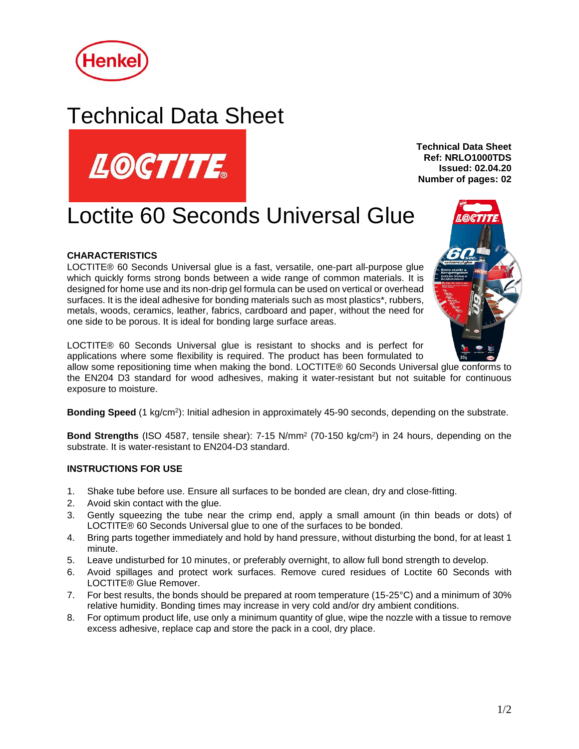

## Technical Data Sheet



**Technical Data Sheet Ref: NRLO1000TDS Issued: 02.04.20 Number of pages: 02**

# Loctite 60 Seconds Universal Glue

## **CHARACTERISTICS**

LOCTITE® 60 Seconds Universal glue is a fast, versatile, one-part all-purpose glue which quickly forms strong bonds between a wide range of common materials. It is designed for home use and its non-drip gel formula can be used on vertical or overhead surfaces. It is the ideal adhesive for bonding materials such as most plastics\*, rubbers, metals, woods, ceramics, leather, fabrics, cardboard and paper, without the need for one side to be porous. It is ideal for bonding large surface areas.



LOCTITE® 60 Seconds Universal glue is resistant to shocks and is perfect for applications where some flexibility is required. The product has been formulated to

allow some repositioning time when making the bond. LOCTITE® 60 Seconds Universal glue conforms to the EN204 D3 standard for wood adhesives, making it water-resistant but not suitable for continuous exposure to moisture.

Bonding Speed (1 kg/cm<sup>2</sup>): Initial adhesion in approximately 45-90 seconds, depending on the substrate.

**Bond Strengths** (ISO 4587, tensile shear): 7-15 N/mm<sup>2</sup> (70-150 kg/cm<sup>2</sup> ) in 24 hours, depending on the substrate. It is water-resistant to EN204-D3 standard.

#### **INSTRUCTIONS FOR USE**

- 1. Shake tube before use. Ensure all surfaces to be bonded are clean, dry and close-fitting.
- 2. Avoid skin contact with the glue.
- 3. Gently squeezing the tube near the crimp end, apply a small amount (in thin beads or dots) of LOCTITE® 60 Seconds Universal glue to one of the surfaces to be bonded.
- 4. Bring parts together immediately and hold by hand pressure, without disturbing the bond, for at least 1 minute.
- 5. Leave undisturbed for 10 minutes, or preferably overnight, to allow full bond strength to develop.
- 6. Avoid spillages and protect work surfaces. Remove cured residues of Loctite 60 Seconds with LOCTITE® Glue Remover.
- 7. For best results, the bonds should be prepared at room temperature (15-25°C) and a minimum of 30% relative humidity. Bonding times may increase in very cold and/or dry ambient conditions.
- 8. For optimum product life, use only a minimum quantity of glue, wipe the nozzle with a tissue to remove excess adhesive, replace cap and store the pack in a cool, dry place.